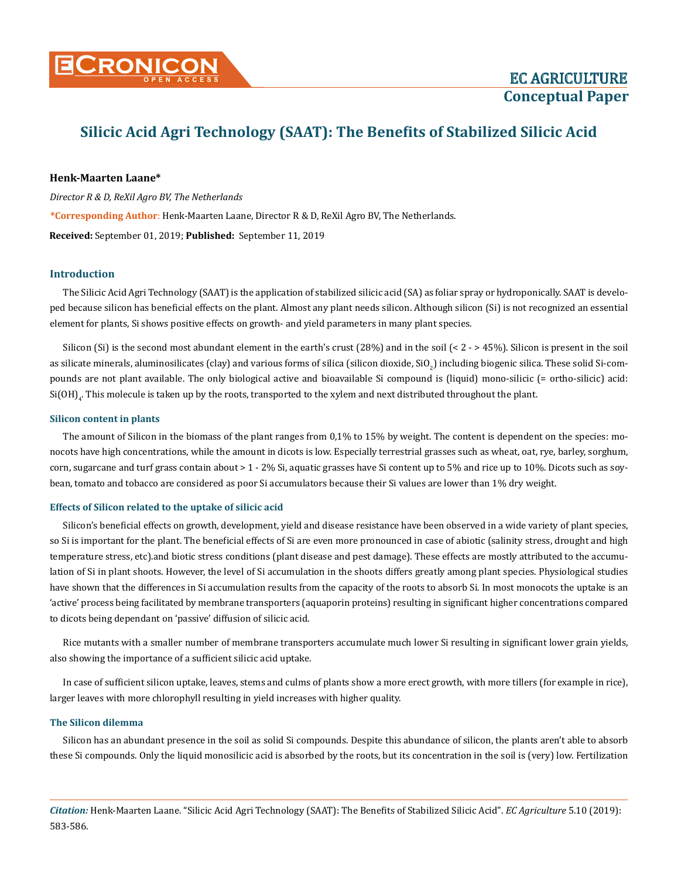

# **Silicic Acid Agri Technology (SAAT): The Benefits of Stabilized Silicic Acid**

## **Henk-Maarten Laane\***

*Director R & D, ReXil Agro BV, The Netherlands* **\*Corresponding Author**: Henk-Maarten Laane, Director R & D, ReXil Agro BV, The Netherlands. **Received:** September 01, 2019; **Published:** September 11, 2019

# **Introduction**

The Silicic Acid Agri Technology (SAAT) is the application of stabilized silicic acid (SA) as foliar spray or hydroponically. SAAT is developed because silicon has beneficial effects on the plant. Almost any plant needs silicon. Although silicon (Si) is not recognized an essential element for plants, Si shows positive effects on growth- and yield parameters in many plant species.

Silicon (Si) is the second most abundant element in the earth's crust  $(28%)$  and in the soil (< 2 - > 45%). Silicon is present in the soil as silicate minerals, aluminosilicates (clay) and various forms of silica (silicon dioxide, SiO<sub>2</sub>) including biogenic silica. These solid Si-compounds are not plant available. The only biological active and bioavailable Si compound is (liquid) mono-silicic (= ortho-silicic) acid:  $\mathrm{Si}(\mathrm{OH})_4$ . This molecule is taken up by the roots, transported to the xylem and next distributed throughout the plant.

## **Silicon content in plants**

The amount of Silicon in the biomass of the plant ranges from 0,1% to 15% by weight. The content is dependent on the species: monocots have high concentrations, while the amount in dicots is low. Especially terrestrial grasses such as wheat, oat, rye, barley, sorghum, corn, sugarcane and turf grass contain about > 1 - 2% Si, aquatic grasses have Si content up to 5% and rice up to 10%. Dicots such as soybean, tomato and tobacco are considered as poor Si accumulators because their Si values are lower than 1% dry weight.

## **Effects of Silicon related to the uptake of silicic acid**

Silicon's beneficial effects on growth, development, yield and disease resistance have been observed in a wide variety of plant species, so Si is important for the plant. The beneficial effects of Si are even more pronounced in case of abiotic (salinity stress, drought and high temperature stress, etc).and biotic stress conditions (plant disease and pest damage). These effects are mostly attributed to the accumulation of Si in plant shoots. However, the level of Si accumulation in the shoots differs greatly among plant species. Physiological studies have shown that the differences in Si accumulation results from the capacity of the roots to absorb Si. In most monocots the uptake is an 'active' process being facilitated by membrane transporters (aquaporin proteins) resulting in significant higher concentrations compared to dicots being dependant on 'passive' diffusion of silicic acid.

Rice mutants with a smaller number of membrane transporters accumulate much lower Si resulting in significant lower grain yields, also showing the importance of a sufficient silicic acid uptake.

In case of sufficient silicon uptake, leaves, stems and culms of plants show a more erect growth, with more tillers (for example in rice), larger leaves with more chlorophyll resulting in yield increases with higher quality.

#### **The Silicon dilemma**

Silicon has an abundant presence in the soil as solid Si compounds. Despite this abundance of silicon, the plants aren't able to absorb these Si compounds. Only the liquid monosilicic acid is absorbed by the roots, but its concentration in the soil is (very) low. Fertilization

*Citation:* Henk-Maarten Laane. "Silicic Acid Agri Technology (SAAT): The Benefits of Stabilized Silicic Acid". *EC Agriculture* 5.10 (2019): 583-586.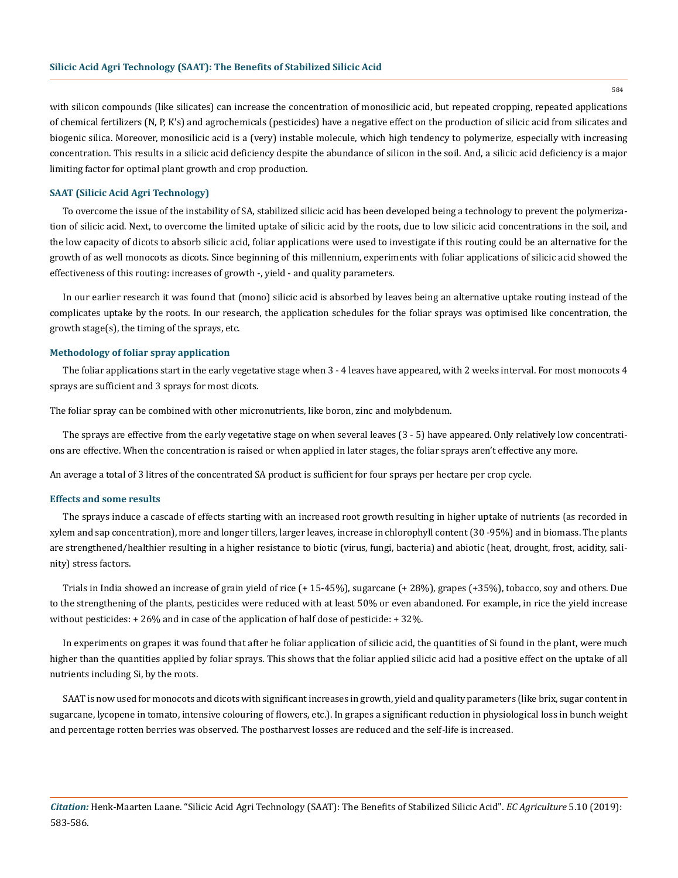with silicon compounds (like silicates) can increase the concentration of monosilicic acid, but repeated cropping, repeated applications of chemical fertilizers (N, P, K's) and agrochemicals (pesticides) have a negative effect on the production of silicic acid from silicates and biogenic silica. Moreover, monosilicic acid is a (very) instable molecule, which high tendency to polymerize, especially with increasing concentration. This results in a silicic acid deficiency despite the abundance of silicon in the soil. And, a silicic acid deficiency is a major limiting factor for optimal plant growth and crop production.

## **SAAT (Silicic Acid Agri Technology)**

To overcome the issue of the instability of SA, stabilized silicic acid has been developed being a technology to prevent the polymerization of silicic acid. Next, to overcome the limited uptake of silicic acid by the roots, due to low silicic acid concentrations in the soil, and the low capacity of dicots to absorb silicic acid, foliar applications were used to investigate if this routing could be an alternative for the growth of as well monocots as dicots. Since beginning of this millennium, experiments with foliar applications of silicic acid showed the effectiveness of this routing: increases of growth -, yield - and quality parameters.

In our earlier research it was found that (mono) silicic acid is absorbed by leaves being an alternative uptake routing instead of the complicates uptake by the roots. In our research, the application schedules for the foliar sprays was optimised like concentration, the growth stage(s), the timing of the sprays, etc.

## **Methodology of foliar spray application**

The foliar applications start in the early vegetative stage when 3 - 4 leaves have appeared, with 2 weeks interval. For most monocots 4 sprays are sufficient and 3 sprays for most dicots.

The foliar spray can be combined with other micronutrients, like boron, zinc and molybdenum.

The sprays are effective from the early vegetative stage on when several leaves (3 - 5) have appeared. Only relatively low concentrations are effective. When the concentration is raised or when applied in later stages, the foliar sprays aren't effective any more.

An average a total of 3 litres of the concentrated SA product is sufficient for four sprays per hectare per crop cycle.

## **Effects and some results**

The sprays induce a cascade of effects starting with an increased root growth resulting in higher uptake of nutrients (as recorded in xylem and sap concentration), more and longer tillers, larger leaves, increase in chlorophyll content (30 -95%) and in biomass. The plants are strengthened/healthier resulting in a higher resistance to biotic (virus, fungi, bacteria) and abiotic (heat, drought, frost, acidity, salinity) stress factors.

Trials in India showed an increase of grain yield of rice (+ 15-45%), sugarcane (+ 28%), grapes (+35%), tobacco, soy and others. Due to the strengthening of the plants, pesticides were reduced with at least 50% or even abandoned. For example, in rice the yield increase without pesticides: + 26% and in case of the application of half dose of pesticide: + 32%.

In experiments on grapes it was found that after he foliar application of silicic acid, the quantities of Si found in the plant, were much higher than the quantities applied by foliar sprays. This shows that the foliar applied silicic acid had a positive effect on the uptake of all nutrients including Si, by the roots.

SAAT is now used for monocots and dicots with significant increases in growth, yield and quality parameters (like brix, sugar content in sugarcane, lycopene in tomato, intensive colouring of flowers, etc.). In grapes a significant reduction in physiological loss in bunch weight and percentage rotten berries was observed. The postharvest losses are reduced and the self-life is increased.

*Citation:* Henk-Maarten Laane. "Silicic Acid Agri Technology (SAAT): The Benefits of Stabilized Silicic Acid". *EC Agriculture* 5.10 (2019): 583-586.

584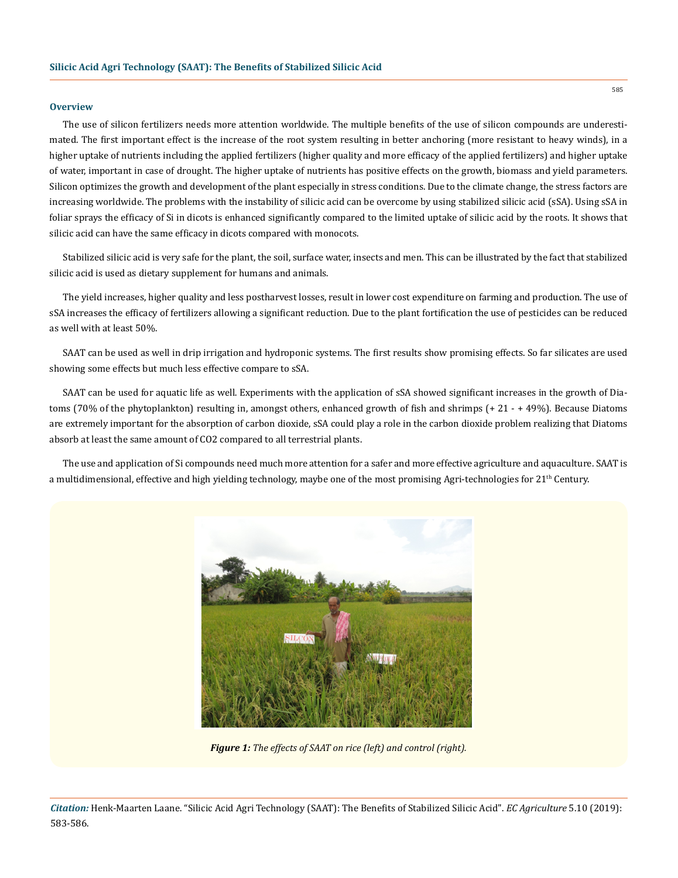## **Overview**

The use of silicon fertilizers needs more attention worldwide. The multiple benefits of the use of silicon compounds are underestimated. The first important effect is the increase of the root system resulting in better anchoring (more resistant to heavy winds), in a higher uptake of nutrients including the applied fertilizers (higher quality and more efficacy of the applied fertilizers) and higher uptake of water, important in case of drought. The higher uptake of nutrients has positive effects on the growth, biomass and yield parameters. Silicon optimizes the growth and development of the plant especially in stress conditions. Due to the climate change, the stress factors are increasing worldwide. The problems with the instability of silicic acid can be overcome by using stabilized silicic acid (sSA). Using sSA in foliar sprays the efficacy of Si in dicots is enhanced significantly compared to the limited uptake of silicic acid by the roots. It shows that silicic acid can have the same efficacy in dicots compared with monocots.

Stabilized silicic acid is very safe for the plant, the soil, surface water, insects and men. This can be illustrated by the fact that stabilized silicic acid is used as dietary supplement for humans and animals.

The yield increases, higher quality and less postharvest losses, result in lower cost expenditure on farming and production. The use of sSA increases the efficacy of fertilizers allowing a significant reduction. Due to the plant fortification the use of pesticides can be reduced as well with at least 50%.

SAAT can be used as well in drip irrigation and hydroponic systems. The first results show promising effects. So far silicates are used showing some effects but much less effective compare to sSA.

SAAT can be used for aquatic life as well. Experiments with the application of sSA showed significant increases in the growth of Diatoms (70% of the phytoplankton) resulting in, amongst others, enhanced growth of fish and shrimps (+ 21 - + 49%). Because Diatoms are extremely important for the absorption of carbon dioxide, sSA could play a role in the carbon dioxide problem realizing that Diatoms absorb at least the same amount of CO2 compared to all terrestrial plants.

The use and application of Si compounds need much more attention for a safer and more effective agriculture and aquaculture. SAAT is a multidimensional, effective and high yielding technology, maybe one of the most promising Agri-technologies for  $21<sup>th</sup>$  Century.



*Figure 1: The effects of SAAT on rice (left) and control (right).*

585